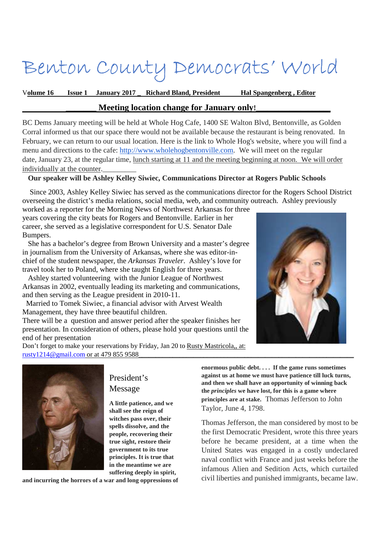# Benton County Democrats' World

V**olume 16 Issue 1 January 2017 \_ Richard Bland, President Hal Spangenberg , Editor** 

## **Meeting location change for January only!**

BC Dems January meeting will be held at Whole Hog Cafe, 1400 SE Walton Blvd, Bentonville, as Golden Corral informed us that our space there would not be available because the restaurant is being renovated. In February, we can return to our usual location. Here is the link to Whole Hog's website, where you will find a menu and directions to the cafe: http://www.wholehogbentonville.com. We will meet on the regular date, January 23, at the regular time, lunch starting at 11 and the meeting beginning at noon. We will order individually at the counter.

## **Our speaker will be Ashley Kelley Siwiec, Communications Director at Rogers Public Schools**

 Since 2003, Ashley Kelley Siwiec has served as the communications director for the Rogers School District overseeing the district's media relations, social media, web, and community outreach. Ashley previously

worked as a reporter for the Morning News of Northwest Arkansas for three years covering the city beats for Rogers and Bentonville. Earlier in her career, she served as a legislative correspondent for U.S. Senator Dale Bumpers.

 She has a bachelor's degree from Brown University and a master's degree in journalism from the University of Arkansas, where she was editor-inchief of the student newspaper, the *Arkansas Traveler*. Ashley's love for travel took her to Poland, where she taught English for three years.

 Ashley started volunteering with the Junior League of Northwest Arkansas in 2002, eventually leading its marketing and communications, and then serving as the League president in 2010-11.

 Married to Tomek Siwiec, a financial advisor with Arvest Wealth Management, they have three beautiful children.

There will be a question and answer period after the speaker finishes her presentation. In consideration of others, please hold your questions until the end of her presentation

Don't forget to make your reservations by Friday, Jan 20 to Rusty Mastricola,, at: rusty1214@gmail.com or at 479 855 9588





President's Message

**A little patience, and we shall see the reign of witches pass over, their spells dissolve, and the people, recovering their true sight, restore their government to its true principles. It is true that in the meantime we are suffering deeply in spirit,** 

**and incurring the horrors of a war and long oppressions of** 

**enormous public debt. . . . If the game runs sometimes against us at home we must have patience till luck turns, and then we shall have an opportunity of winning back the** *principles* **we have lost, for this is a game where principles are at stake.** Thomas Jefferson to John Taylor, June 4, 1798.

Thomas Jefferson, the man considered by most to be the first Democratic President, wrote this three years before he became president, at a time when the United States was engaged in a costly undeclared naval conflict with France and just weeks before the infamous Alien and Sedition Acts, which curtailed civil liberties and punished immigrants, became law.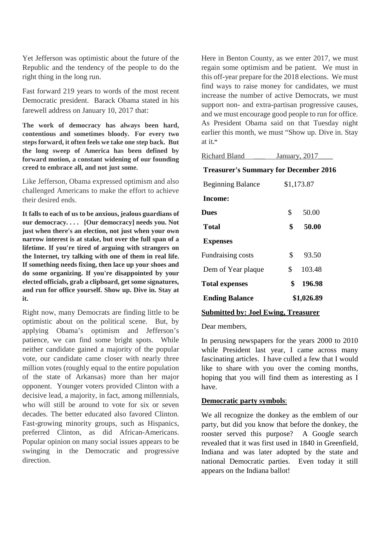Yet Jefferson was optimistic about the future of the Republic and the tendency of the people to do the right thing in the long run.

Fast forward 219 years to words of the most recent Democratic president. Barack Obama stated in his farewell address on January 10, 2017 that:

**The work of democracy has always been hard, contentious and sometimes bloody. For every two steps forward, it often feels we take one step back. But the long sweep of America has been defined by forward motion, a constant widening of our founding creed to embrace all, and not just some.** 

Like Jefferson, Obama expressed optimism and also challenged Americans to make the effort to achieve their desired ends.

**It falls to each of us to be anxious, jealous guardians of our democracy. . . . [Our democracy] needs you. Not just when there's an election, not just when your own narrow interest is at stake, but over the full span of a lifetime. If you're tired of arguing with strangers on the Internet, try talking with one of them in real life. If something needs fixing, then lace up your shoes and do some organizing. If you're disappointed by your elected officials, grab a clipboard, get some signatures, and run for office yourself. Show up. Dive in. Stay at it.** 

Right now, many Democrats are finding little to be optimistic about on the political scene. But, by applying Obama's optimism and Jefferson's patience, we can find some bright spots. While neither candidate gained a majority of the popular vote, our candidate came closer with nearly three million votes (roughly equal to the entire population of the state of Arkansas) more than her major opponent. Younger voters provided Clinton with a decisive lead, a majority, in fact, among millennials, who will still be around to vote for six or seven decades. The better educated also favored Clinton. Fast-growing minority groups, such as Hispanics, preferred Clinton, as did African-Americans. Popular opinion on many social issues appears to be swinging in the Democratic and progressive direction.

Here in Benton County, as we enter 2017, we must regain some optimism and be patient. We must in this off-year prepare for the 2018 elections. We must find ways to raise money for candidates, we must increase the number of active Democrats, we must support non- and extra-partisan progressive causes, and we must encourage good people to run for office. As President Obama said on that Tuesday night earlier this month, we must "Show up. Dive in. Stay at it**."** 

| Richard Bland                                | January, 2017 |        |
|----------------------------------------------|---------------|--------|
| <b>Treasurer's Summary for December 2016</b> |               |        |
| <b>Beginning Balance</b>                     | \$1,173.87    |        |
| Income:                                      |               |        |
| <b>Dues</b>                                  | \$            | 50.00  |
| Total                                        | \$            | 50.00  |
| <b>Expenses</b>                              |               |        |
| Fundraising costs                            | \$            | 93.50  |
| Dem of Year plaque                           | \$            | 103.48 |
| <b>Total expenses</b>                        | \$            | 196.98 |
| <b>Ending Balance</b>                        | \$1,026.89    |        |

#### **Submitted by: Joel Ewing, Treasurer**

#### Dear members,

In perusing newspapers for the years 2000 to 2010 while President last year, I came across many fascinating articles. I have culled a few that I would like to share with you over the coming months, hoping that you will find them as interesting as I have.

#### **Democratic party symbols**:

We all recognize the donkey as the emblem of our party, but did you know that before the donkey, the rooster served this purpose? A Google search revealed that it was first used in 1840 in Greenfield, Indiana and was later adopted by the state and national Democratic parties. Even today it still appears on the Indiana ballot!